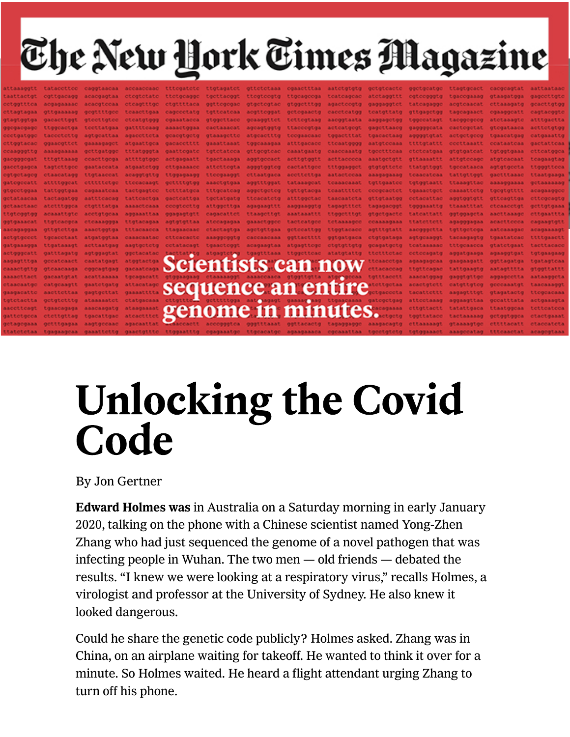# The New Hork Times Magazine

| attaaaggtt        |                   |                          |                                  |                          |                          |                   |                       | tataccttcc caggtaacaa accaaccaac titcgatctc tigtagatct gitctctaaa cgaactttaa aatcigigig gctgtcactc ggctgcatgc ttagtgcact |             |                   |            |                   |                   |
|-------------------|-------------------|--------------------------|----------------------------------|--------------------------|--------------------------|-------------------|-----------------------|--------------------------------------------------------------------------------------------------------------------------|-------------|-------------------|------------|-------------------|-------------------|
| taattacto         |                   |                          |                                  |                          |                          |                   |                       |                                                                                                                          |             |                   |            |                   |                   |
|                   |                   |                          |                                  |                          |                          |                   |                       |                                                                                                                          |             |                   |            |                   |                   |
| cttagtagaa        | gttgaaaaag        | gogttttgoc.              | tcaacttgaa                       | cagcoctatg               | tattcatcas               |                   | octcommeto            | cacctcatgg                                                                                                               |             |                   |            |                   |                   |
|                   |                   |                          | ctcatgtggg                       | coasstacca               | <i><b>GLODOLLACO</b></i> |                   |                       | ascoctaata                                                                                                               |             |                   |            |                   |                   |
|                   |                   | tcottatgaa               | gattttcaag.                      | assactogas               | cactasacat               |                   |                       | acteatgegt                                                                                                               | gagettaacg  |                   |            |                   |                   |
|                   |                   | agtgcattaa               | agaccttcta                       | geacgtgetg               | gtaaagette               | atgesctttg        | teegaacaac            | togactttat                                                                                                               | tgacactaag  |                   |            |                   | catgaaattg        |
|                   |                   | gaaaagaget               | atgaattgca                       | <i><b>GACACCEEEE</b></i> | gaaattaaat               | togcanagas        | atttgacacc            | ttcaatooog                                                                                                               | aatgtccaaa  |                   |            |                   | gactattcaa        |
|                   | 8888088888        | <i><b>gettgatgge</b></i> | tttatoogta                       | gaattcgatc               | tatetateca               | attgeateac.       | caaatgaatg            | <b>CAACCAAAtG</b>                                                                                                        | tocctttcaa  | ctctcatgaa        |            |                   | cttcatggca        |
|                   | <b>Ettettaaag</b> | ccacttgcga               | attttatgac                       | actosquatt               | tgactaaaga               | aggtgccact        | acttgtggtt            | acttacccca                                                                                                               | aaatgetgtt  | <b>GELAGAALLE</b> |            |                   | tcagaagtag        |
|                   |                   |                          | gaataccata atgaatctgg            | cttgananco               | attettegta               |                   | cactattgcc            |                                                                                                                          |             |                   |            |                   | ttgggttcca        |
|                   | ctascatagg        | ttgtaaccat               | acaggtgttg                       | ttggagaagg               | ttccgaaggt               | cttaatgaca        | accttottga            | aatactecaa                                                                                                               | aaagagaaag  | teaacateaa        |            |                   | ttaatgasga        |
|                   |                   | <i>ctttttctgc</i>        | ttecacaagt                       |                          | assototosa               | aggtttggat        | tatasageat            | tcaaacaaat                                                                                                               | tattgaatco  |                   |            |                   | gctaaaaaag        |
|                   |                   | <i><b>CAGAAAtCAA</b></i> |                                  |                          |                          |                   |                       |                                                                                                                          |             |                   |            |                   |                   |
|                   |                   |                          |                                  | <i><b>GACTOATTOA</b></i> |                          |                   | atttggctac            | taacaateta                                                                                                               |             |                   |            |                   |                   |
|                   |                   | ctotttatos               | aaaactcaaa                       | cccatcctta               | attgacttos               | ありありあありたたむ        | <b>AAGGAAGGTO</b>     | たありみなもももとも                                                                                                               |             | toggassttg        |            |                   | gettgtgaaa        |
|                   |                   |                          | acctotocaa aggaaattaa            | <b>GOAGAGEGEE</b>        | cagacattet.              | <b>Etampottot</b> | asstassitt tiggetitgt |                                                                                                                          |             | <b>CALCALLALL</b> |            |                   | <b>CLEGAALLEA</b> |
|                   |                   | <b>CLCABAGGGA</b>        | <b>ttgtacagaa</b>                | actotottaa               | atceagagas               | gaaactggcc        | tactcatgcc            | tetaaaagee                                                                                                               | CCAAAAQAAA  | ttatettett        |            |                   | cagaagtgtt        |
|                   | gttatcttam        | aaactggtga               | <b><i><u>Ettachacca</u></i></b>  | ttagsacaac               | ctactagtga               | agetettgaal       | <b>GOLCCALLOG</b>     | ttggtacacc.                                                                                                              | あなもももなもあもも、 |                   |            | aatcaaagac        | acagaaaagt        |
| actgtgccci        | <b>Lacacctaat</b> |                          | atgatggtaa caaacaatac cttcacactc |                          | <b>AAAGSCOGTO</b>        | <b>CACCABCAAA</b> | <b>GOLLAGELLE</b>     |                                                                                                                          |             |                   |            | toantateae        | たもももなみあのもも        |
| gatgaaagga        | <b>Etgatanagt</b> | acttaatoag.              |                                  | <b>CCLALACAGL</b>        | tgaactcggt               | acagaagtaa        |                       |                                                                                                                          |             | tcatassac         | tttocascca | <b>GLALCLOBAL</b> | tacttacacc        |
|                   |                   |                          | ggctacatac tacttath              |                          |                          |                   |                       | <b>Scientists can now</b>                                                                                                |             |                   |            |                   | totoaaoaao        |
|                   | geeateaact.       | caatatgagt atggtactga    |                                  |                          |                          |                   |                       |                                                                                                                          |             |                   |            |                   | tgatagtcaa        |
| caaactgttg        | <b>GLCABCAAGA</b> |                          |                                  |                          |                          |                   |                       |                                                                                                                          |             |                   |            |                   | gtggttattt        |
| aaaacttact        | <b>GACAALQLAL</b> |                          |                                  |                          |                          |                   |                       |                                                                                                                          |             |                   |            |                   | aataaggeta        |
|                   |                   |                          |                                  |                          |                          |                   |                       | sequence an entire                                                                                                       |             |                   |            |                   | taacaaaggt        |
| <b>Gaagacatto</b> | aacttcttaa        |                          |                                  |                          |                          |                   |                       |                                                                                                                          |             |                   |            | <b>GLAGALACEG</b> | ttegeacana        |
| tatetaetti        |                   | ataaaaatet               |                                  |                          |                          |                   |                       |                                                                                                                          |             |                   |            |                   | actgaaagta        |
|                   | tgaacagaga        | aaacaagatg               |                                  |                          |                          |                   |                       | genome in minutes.                                                                                                       |             |                   |            | ttaatgocaa        | tettcateca        |
| gattetgeea        |                   |                          |                                  |                          |                          |                   |                       |                                                                                                                          |             |                   |            |                   | ctactgamat        |
|                   |                   |                          |                                  |                          |                          |                   |                       |                                                                                                                          |             |                   |            |                   |                   |
|                   |                   |                          |                                  |                          |                          |                   |                       |                                                                                                                          |             |                   |            |                   |                   |

# Unlocking the Covid **Code**

By Jon Gertner

Edward Holmes was in Australia on a Saturday morning in early January 2020, talking on the phone with a Chinese scientist named Yong-Zhen Zhang who had just sequenced the genome of a novel pathogen that was infecting people in Wuhan. The two men — old friends — debated the results. "I knew we were looking at a respiratory virus," recalls Holmes, a virologist and professor at the University of Sydney. He also knew it looked dangerous.

Could he share the genetic code publicly? Holmes asked. Zhang was in China, on an airplane waiting for takeoff. He wanted to think it over for a minute. So Holmes waited. He heard a flight attendant urging Zhang to turn off his phone.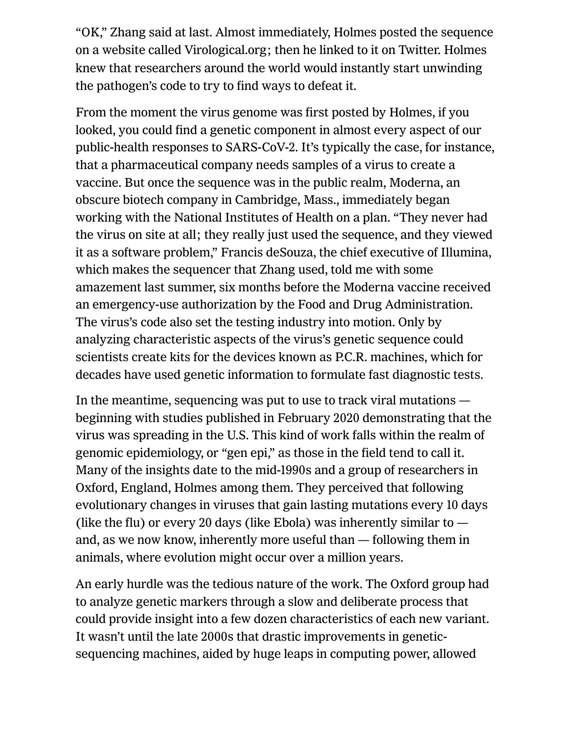"OK," Zhang said at last. Almost immediately, Holmes posted the sequence on a website called Virological.org; then he linked to it on Twitter. Holmes knew that researchers around the world would instantly start unwinding the pathogen's code to try to find ways to defeat it.

From the moment the virus genome was first posted by Holmes, if you looked, you could find a genetic component in almost every aspect of our public-health responses to SARS-CoV-2. It's typically the case, for instance, that a pharmaceutical company needs samples of a virus to create a vaccine. But once [the sequence was in the public realm,](https://www.nytimes.com/interactive/2020/04/03/science/coronavirus-genome-bad-news-wrapped-in-protein.html) Moderna, an obscure biotech company in Cambridge, Mass., immediately began working with the National Institutes of Health on a plan. "They never had the virus on site at all; they really just used the sequence, and they viewed it as a software problem," Francis deSouza, the chief executive of Illumina, which makes the sequencer that Zhang used, told me with some amazement last summer, six months before the Moderna vaccine received an emergency-use authorization by the Food and Drug Administration. The virus's code also set the testing industry into motion. Only by analyzing characteristic aspects of the virus's genetic sequence could scientists create kits for the devices known as P.C.R. machines, which for decades have used genetic information to formulate fast diagnostic tests.

In the meantime, sequencing was put to use to track viral mutations beginning with studies published in February 2020 demonstrating that the virus was spreading in the U.S. This kind of work falls within the realm of genomic epidemiology, or "gen epi," as those in the field tend to call it. Many of the insights date to the mid-1990s and a group of researchers in Oxford, England, Holmes among them. They perceived that following evolutionary changes in viruses that gain lasting mutations every 10 days (like the flu) or every 20 days (like Ebola) was inherently similar to  $$ and, as we now know, inherently more useful than — following them in animals, where evolution might occur over a million years.

An early hurdle was the tedious nature of the work. The Oxford group had to analyze genetic markers through a slow and deliberate process that could provide insight into a few dozen characteristics of each new variant. It wasn't until the late 2000s that drastic improvements in geneticsequencing machines, aided by huge leaps in computing power, allowed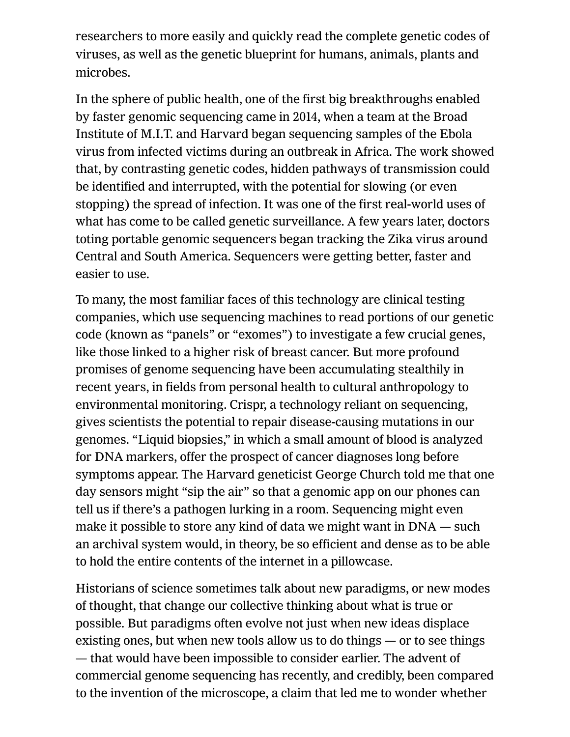researchers to more easily and quickly read the complete genetic codes of viruses, as well as the genetic blueprint for humans, animals, plants and microbes.

In the sphere of public health, one of the first big breakthroughs enabled by faster genomic sequencing came in 2014, when a team at the Broad Institute of M.I.T. and Harvard began sequencing samples of the Ebola virus from infected victims during an outbreak in Africa. The work showed that, by contrasting genetic codes, hidden pathways of transmission could be identified and interrupted, with the potential for slowing (or even stopping) the spread of infection. It was one of the first real-world uses of what has come to be called genetic surveillance. A few years later, doctors toting portable genomic sequencers began tracking the Zika virus around Central and South America. Sequencers were getting better, faster and easier to use.

To many, the most familiar faces of this technology are clinical testing companies, which use sequencing machines to read portions of our genetic code (known as "panels" or "exomes") to investigate a few crucial genes, like those linked to a higher risk of breast cancer. But more profound promises of genome sequencing have been accumulating stealthily in recent years, in fields from personal health to cultural anthropology to environmental monitoring. [Crispr, a technology reliant on sequencing,](https://www.nytimes.com/2020/01/08/magazine/gene-drive-mosquitoes.html)  gives scientists the potential to repair disease-causing mutations in our genomes. "Liquid biopsies," in which a small amount of blood is analyzed for DNA markers, offer the prospect of cancer diagnoses long before symptoms appear. The Harvard geneticist George Church told me that one day sensors might "sip the air" so that a genomic app on our phones can tell us if there's a pathogen lurking in a room. Sequencing might even make it possible to store any kind of data we might want in DNA — such an archival system would, in theory, be so efficient and dense as to be able to hold the entire contents of the internet in a pillowcase.

Historians of science sometimes talk about new paradigms, or new modes of thought, that change our collective thinking about what is true or possible. But paradigms often evolve not just when new ideas displace existing ones, but when new tools allow us to do things — or to see things — that would have been impossible to consider earlier. The advent of commercial genome sequencing has recently, and credibly, been compared to the invention of the microscope, a claim that led me to wonder whether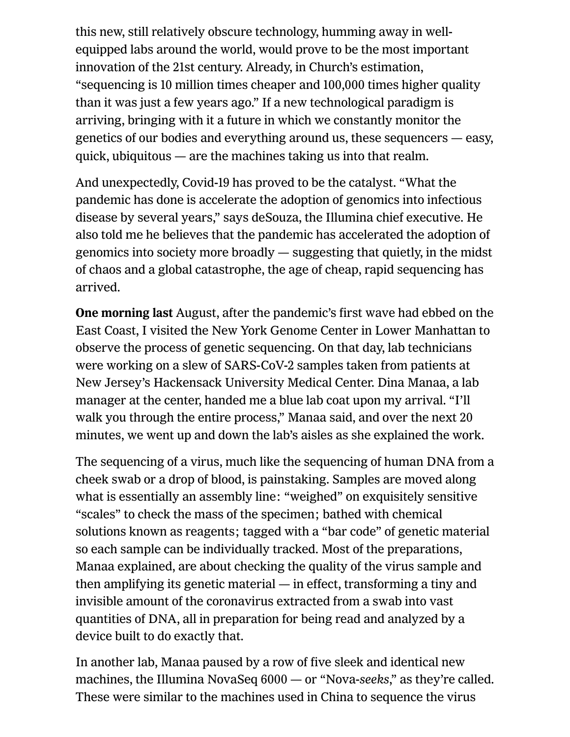this new, still relatively obscure technology, humming away in wellequipped labs around the world, would prove to be the most important innovation of the 21st century. Already, in Church's estimation, "sequencing is 10 million times cheaper and 100,000 times higher quality than it was just a few years ago." If a new technological paradigm is arriving, bringing with it a future in which we constantly monitor the genetics of our bodies and everything around us, these sequencers — easy, quick, ubiquitous — are the machines taking us into that realm.

And unexpectedly, Covid-19 has proved to be the catalyst. "What the pandemic has done is accelerate the adoption of genomics into infectious disease by several years," says deSouza, the Illumina chief executive. He also told me he believes that the pandemic has accelerated the adoption of genomics into society more broadly — suggesting that quietly, in the midst of chaos and a global catastrophe, the age of cheap, rapid sequencing has arrived.

One morning last August, after the pandemic's first wave had ebbed on the East Coast, I visited the New York Genome Center in Lower Manhattan to observe the process of genetic sequencing. On that day, lab technicians were working on a slew of SARS-CoV-2 samples taken from patients at New Jersey's Hackensack University Medical Center. Dina Manaa, a lab manager at the center, handed me a blue lab coat upon my arrival. "I'll walk you through the entire process," Manaa said, and over the next 20 minutes, we went up and down the lab's aisles as she explained the work.

The sequencing of a virus, much like the sequencing of human DNA from a cheek swab or a drop of blood, is painstaking. Samples are moved along what is essentially an assembly line: "weighed" on exquisitely sensitive "scales" to check the mass of the specimen; bathed with chemical solutions known as reagents; tagged with a "bar code" of genetic material so each sample can be individually tracked. Most of the preparations, Manaa explained, are about checking the quality of the virus sample and then amplifying its genetic material — in effect, transforming a tiny and invisible amount of the coronavirus extracted from a swab into vast quantities of DNA, all in preparation for being read and analyzed by a device built to do exactly that.

In another lab, Manaa paused by a row of five sleek and identical new machines, the Illumina NovaSeq 6000 — or "Nova-seeks," as they're called. These were similar to the machines used in China to sequence the virus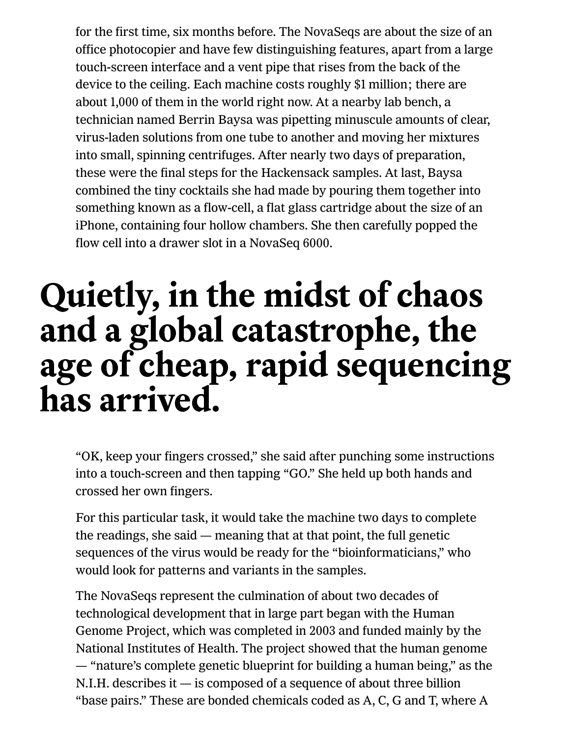for the first time, six months before. The NovaSeqs are about the size of an office photocopier and have few distinguishing features, apart from a large touch-screen interface and a vent pipe that rises from the back of the device to the ceiling. Each machine costs roughly \$1 million; there are about 1,000 of them in the world right now. At a nearby lab bench, a technician named Berrin Baysa was pipetting minuscule amounts of clear, virus-laden solutions from one tube to another and moving her mixtures into small, spinning centrifuges. After nearly two days of preparation, these were the final steps for the Hackensack samples. At last, Baysa combined the tiny cocktails she had made by pouring them together into something known as a flow-cell, a flat glass cartridge about the size of an iPhone, containing four hollow chambers. She then carefully popped the flow cell into a drawer slot in a NovaSeq 6000.

#### Quietly, in the midst of chaos and a global catastrophe, the age of cheap, rapid sequencing has arrived.

"OK, keep your fingers crossed," she said after punching some instructions into a touch-screen and then tapping "GO." She held up both hands and crossed her own fingers.

For this particular task, it would take the machine two days to complete the readings, she said — meaning that at that point, the full genetic sequences of the virus would be ready for the "bioinformaticians," who would look for patterns and variants in the samples.

The NovaSeqs represent the culmination of about two decades of technological development that in large part began with the Human Genome Project, which was completed in 2003 and funded mainly by the National Institutes of Health. The project showed that the human genome — "nature's complete genetic blueprint for building a human being," as the  $N.I.H.$  describes it  $-$  is composed of a sequence of about three billion "base pairs." These are bonded chemicals coded as A, C, G and T, where A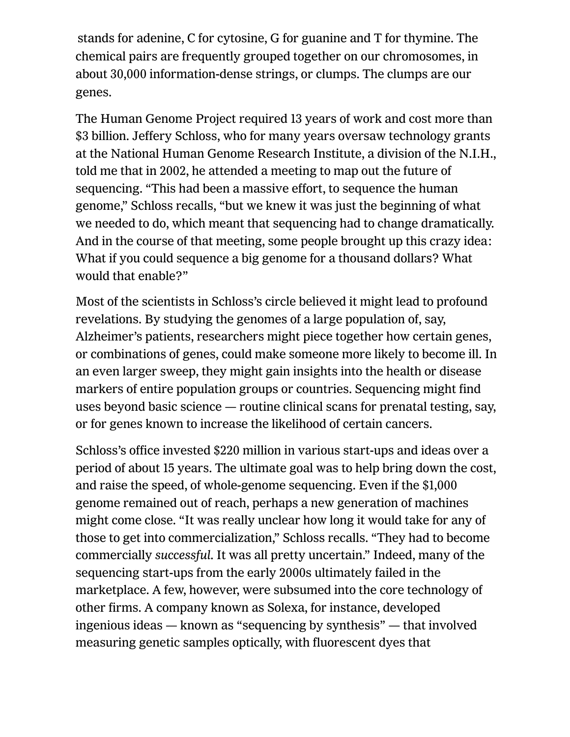stands for adenine, C for cytosine, G for guanine and T for thymine. The chemical pairs are frequently grouped together on our chromosomes, in about 30,000 information-dense strings, or clumps. The clumps are our genes.

The Human Genome Project required 13 years of work and cost more than \$3 billion. Jeffery Schloss, who for many years oversaw technology grants at the National Human Genome Research Institute, a division of the N.I.H., told me that in 2002, he attended a meeting to map out the future of sequencing. "This had been a massive effort, to sequence the human genome," Schloss recalls, "but we knew it was just the beginning of what we needed to do, which meant that sequencing had to change dramatically. And in the course of that meeting, some people brought up this crazy idea: What if you could sequence a big genome for a thousand dollars? What would that enable?"

Most of the scientists in Schloss's circle believed it might lead to profound revelations. By studying the genomes of a large population of, say, Alzheimer's patients, researchers might piece together how certain genes, or combinations of genes, could make someone more likely to become ill. In an even larger sweep, they might gain insights into the health or disease markers of entire population groups or countries. Sequencing might find uses beyond basic science — routine clinical scans for prenatal testing, say, or for genes known to increase the likelihood of certain cancers.

Schloss's office invested \$220 million in various start-ups and ideas over a period of about 15 years. The ultimate goal was to help bring down the cost, and raise the speed, of whole-genome sequencing. Even if the \$1,000 genome remained out of reach, perhaps a new generation of machines might come close. "It was really unclear how long it would take for any of those to get into commercialization," Schloss recalls. "They had to become commercially successful. It was all pretty uncertain." Indeed, many of the sequencing start-ups from the early 2000s ultimately failed in the marketplace. A few, however, were subsumed into the core technology of other firms. A company known as Solexa, for instance, developed ingenious ideas — known as "sequencing by synthesis" — that involved measuring genetic samples optically, with fluorescent dyes that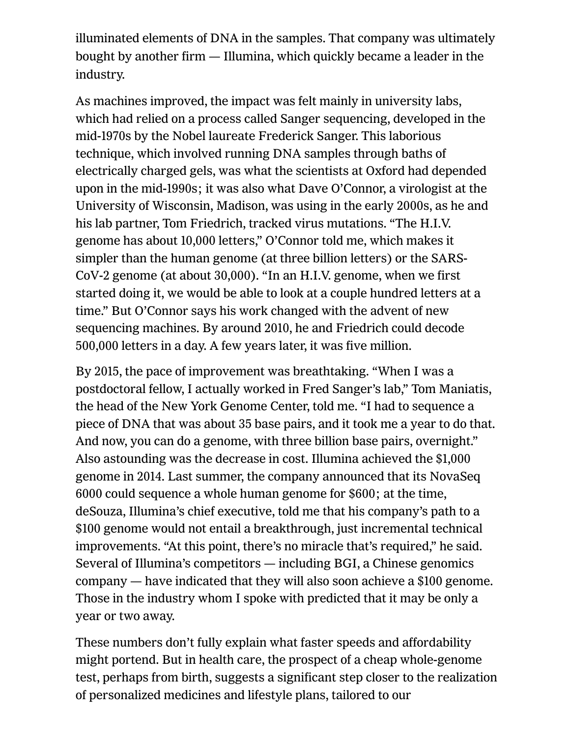illuminated elements of DNA in the samples. That company was ultimately bought by another firm — Illumina, which quickly became a leader in the industry.

As machines improved, the impact was felt mainly in university labs, which had relied on a process called Sanger sequencing, developed in the mid-1970s by the Nobel laureate Frederick Sanger. This laborious technique, which involved running DNA samples through baths of electrically charged gels, was what the scientists at Oxford had depended upon in the mid-1990s; it was also what Dave O'Connor, a virologist at the University of Wisconsin, Madison, was using in the early 2000s, as he and his lab partner, Tom Friedrich, tracked virus mutations. "The H.I.V. genome has about 10,000 letters," O'Connor told me, which makes it simpler than the human genome (at three billion letters) or the SARS-CoV-2 genome (at about 30,000). "In an H.I.V. genome, when we first started doing it, we would be able to look at a couple hundred letters at a time." But O'Connor says his work changed with the advent of new sequencing machines. By around 2010, he and Friedrich could decode 500,000 letters in a day. A few years later, it was five million.

By 2015, the pace of improvement was breathtaking. "When I was a postdoctoral fellow, I actually worked in Fred Sanger's lab," Tom Maniatis, the head of the New York Genome Center, told me. "I had to sequence a piece of DNA that was about 35 base pairs, and it took me a year to do that. And now, you can do a genome, with three billion base pairs, overnight." Also astounding was the decrease in cost. Illumina achieved the \$1,000 genome in 2014. Last summer, the company announced that its NovaSeq 6000 could sequence a whole human genome for \$600; at the time, deSouza, Illumina's chief executive, told me that his company's path to a \$100 genome would not entail a breakthrough, just incremental technical improvements. "At this point, there's no miracle that's required," he said. Several of Illumina's competitors — including BGI, a Chinese genomics company — have indicated that they will also soon achieve a \$100 genome. Those in the industry whom I spoke with predicted that it may be only a year or two away.

These numbers don't fully explain what faster speeds and affordability might portend. But in health care, the prospect of a cheap whole-genome test, perhaps from birth, suggests a significant step closer to the realization of personalized medicines and lifestyle plans, tailored to our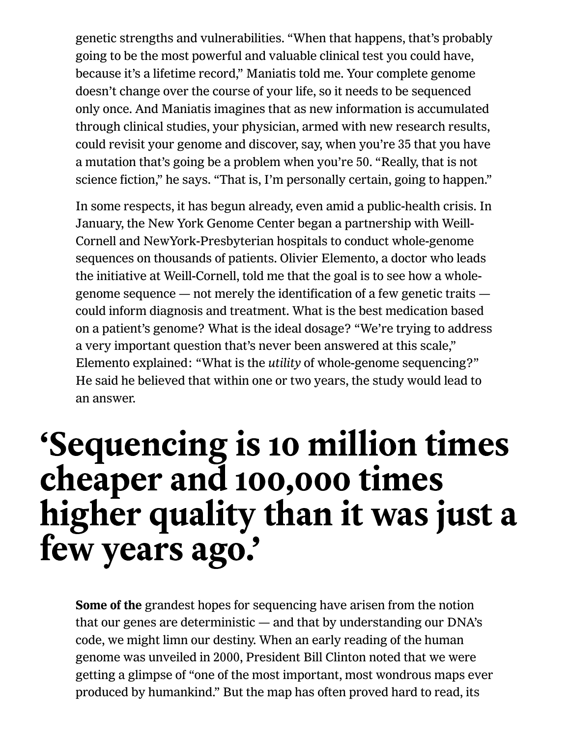genetic strengths and vulnerabilities. "When that happens, that's probably going to be the most powerful and valuable clinical test you could have, because it's a lifetime record," Maniatis told me. Your complete genome doesn't change over the course of your life, so it needs to be sequenced only once. And Maniatis imagines that as new information is accumulated through clinical studies, your physician, armed with new research results, could revisit your genome and discover, say, when you're 35 that you have a mutation that's going be a problem when you're 50. "Really, that is not science fiction," he says. "That is, I'm personally certain, going to happen."

In some respects, it has begun already, even amid a public-health crisis. In January, the New York Genome Center began a partnership with Weill-Cornell and NewYork-Presbyterian hospitals to conduct whole-genome sequences on thousands of patients. Olivier Elemento, a doctor who leads the initiative at Weill-Cornell, told me that the goal is to see how a wholegenome sequence — not merely the identification of a few genetic traits could inform diagnosis and treatment. What is the best medication based on a patient's genome? What is the ideal dosage? "We're trying to address a very important question that's never been answered at this scale," Elemento explained: "What is the utility of whole-genome sequencing?" He said he believed that within one or two years, the study would lead to an answer.

## 'Sequencing is 10 million times cheaper and 100,000 times higher quality than it was just a few years ago.'

Some of the grandest hopes for sequencing have arisen from the notion that our genes are deterministic — and that by understanding our DNA's code, we might limn our destiny. When an early reading of the human genome was unveiled in 2000, President Bill Clinton noted that we were getting a glimpse of "one of the most important, most wondrous maps ever produced by humankind." But the map has often proved hard to read, its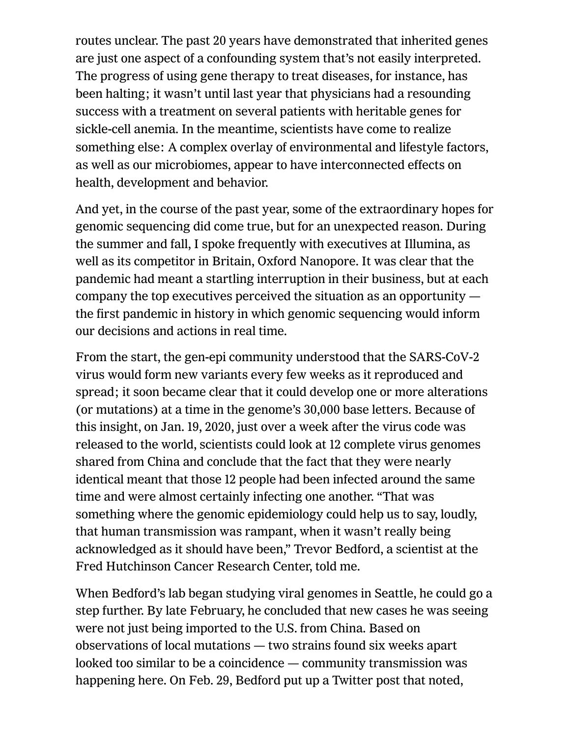routes unclear. The past 20 years have demonstrated that inherited genes are just one aspect of a confounding system that's not easily interpreted. The progress of using gene therapy to treat diseases, for instance, has been halting; it wasn't until last year that physicians had a resounding success with a treatment on several patients with heritable genes for sickle-cell anemia. In the meantime, scientists have come to realize something else: A complex overlay of environmental and lifestyle factors, as well as our microbiomes, appear to have interconnected effects on health, development and behavior.

And yet, in the course of the past year, some of the extraordinary hopes for genomic sequencing did come true, but for an unexpected reason. During the summer and fall, I spoke frequently with executives at Illumina, as well as its competitor in Britain, Oxford Nanopore. It was clear that the pandemic had meant a startling interruption in their business, but at each company the top executives perceived the situation as an opportunity the first pandemic in history in which genomic sequencing would inform our decisions and actions in real time.

From the start, the gen-epi community understood that the SARS-CoV-2 virus would form new variants every few weeks as it reproduced and spread; it soon became clear that it could develop one or more alterations (or mutations) at a time in the genome's 30,000 base letters. Because of this insight, on Jan. 19, 2020, just over a week after the virus code was released to the world, scientists could look at 12 complete virus genomes shared from China and conclude that the fact that they were nearly identical meant that those 12 people had been infected around the same time and were almost certainly infecting one another. "That was something where the genomic epidemiology could help us to say, loudly, that human transmission was rampant, when it wasn't really being acknowledged as it should have been," Trevor Bedford, a scientist at the Fred Hutchinson Cancer Research Center, told me.

When Bedford's lab began studying viral genomes in Seattle, he could go a step further. By late February, he concluded that new cases he was seeing were not just being imported to the U.S. from China. Based on observations of local mutations — two strains found six weeks apart looked too similar to be a coincidence — community transmission was happening here. On Feb. 29, Bedford put up a Twitter post that noted,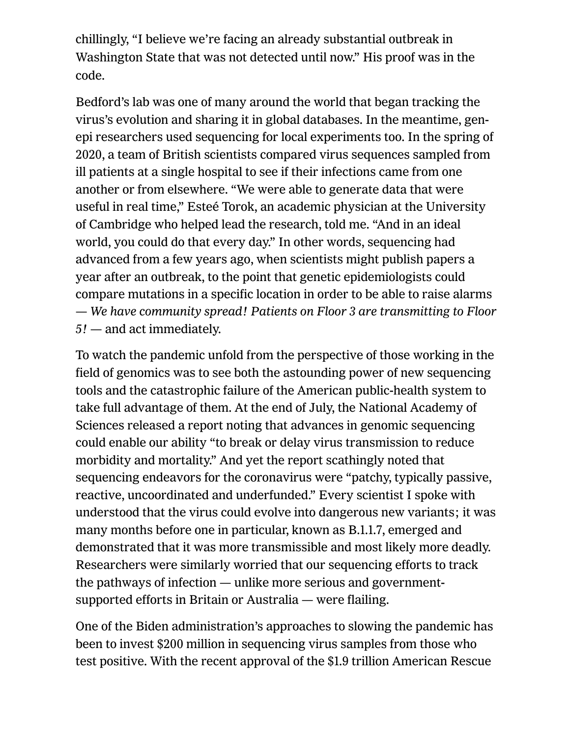chillingly, "I believe we're facing an already substantial outbreak in Washington State that was not detected until now." His proof was in the code.

Bedford's lab was one of many around the world that began tracking the virus's evolution and sharing it in global databases. In the meantime, genepi researchers used sequencing for local experiments too. In the spring of 2020, a team of British scientists compared virus sequences sampled from ill patients at a single hospital to see if their infections came from one another or from elsewhere. "We were able to generate data that were useful in real time," Esteé Torok, an academic physician at the University of Cambridge who helped lead the research, told me. "And in an ideal world, you could do that every day." In other words, sequencing had advanced from a few years ago, when scientists might publish papers a year after an outbreak, to the point that genetic epidemiologists could compare mutations in a specific location in order to be able to raise alarms — We have community spread! Patients on Floor 3 are transmitting to Floor 5! — and act immediately.

To watch the pandemic unfold from the perspective of those working in the field of genomics was to see both the astounding power of new sequencing tools and the catastrophic failure of the American public-health system to take full advantage of them. At the end of July, the National Academy of Sciences [released a report](https://www.nap.edu/read/25879/chapter/2) noting that advances in genomic sequencing could enable our ability "to break or delay virus transmission to reduce morbidity and mortality." And yet the report scathingly noted that sequencing endeavors for the coronavirus were "patchy, typically passive, reactive, uncoordinated and underfunded." Every scientist I spoke with understood that the virus could evolve into [dangerous new variants](https://www.nytimes.com/interactive/2021/health/coronavirus-variant-tracker.html); it was many months before one in particular, [known as B.1.1.7,](https://www.nytimes.com/interactive/2021/health/coronavirus-mutations-B117-variant.html) emerged and demonstrated that it was more transmissible and most likely more deadly. Researchers were similarly worried that our sequencing efforts to track the pathways of infection — unlike more serious and governmentsupported efforts in Britain or Australia — were flailing.

One of the Biden administration's approaches to slowing the pandemic has been to invest \$200 million in sequencing virus samples from those who test positive. With the recent approval of the \$1.9 trillion American Rescue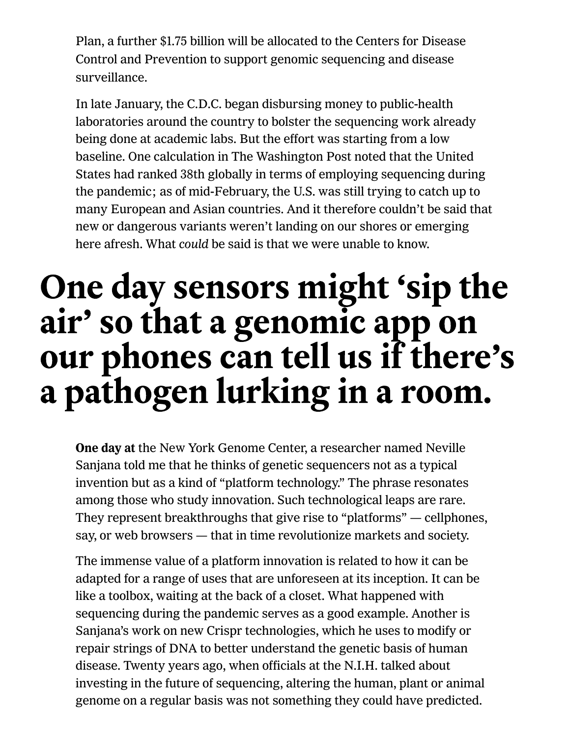Plan, a further \$1.75 billion will be allocated to the Centers for Disease Control and Prevention to support genomic sequencing and disease surveillance.

In late January, the C.D.C. began disbursing money to public-health laboratories around the country to bolster the sequencing work already being done at academic labs. But the effort was starting from a low [baseline. One calculation in The Washington Post noted that the United](https://www.washingtonpost.com/health/2021/01/29/genetic-sequencing-mutations-coronavirus/) States had ranked 38th globally in terms of employing sequencing during the pandemic; as of mid-February, the U.S. was still trying to catch up to many European and Asian countries. And it therefore couldn't be said that new or dangerous variants weren't landing on our shores or emerging here afresh. What could be said is that we were unable to know.

## One day sensors might 'sip the air' so that a genomic app on our phones can tell us if there's a pathogen lurking in a room.

One day at the New York Genome Center, a researcher named Neville Sanjana told me that he thinks of genetic sequencers not as a typical invention but as a kind of "platform technology." The phrase resonates among those who study innovation. Such technological leaps are rare. They represent breakthroughs that give rise to "platforms" — cellphones, say, or web browsers — that in time revolutionize markets and society.

The immense value of a platform innovation is related to how it can be adapted for a range of uses that are unforeseen at its inception. It can be like a toolbox, waiting at the back of a closet. What happened with sequencing during the pandemic serves as a good example. Another is Sanjana's work on new Crispr technologies, which he uses to modify or repair strings of DNA to better understand the genetic basis of human disease. Twenty years ago, when officials at the N.I.H. talked about investing in the future of sequencing, altering the human, plant or animal genome on a regular basis was not something they could have predicted.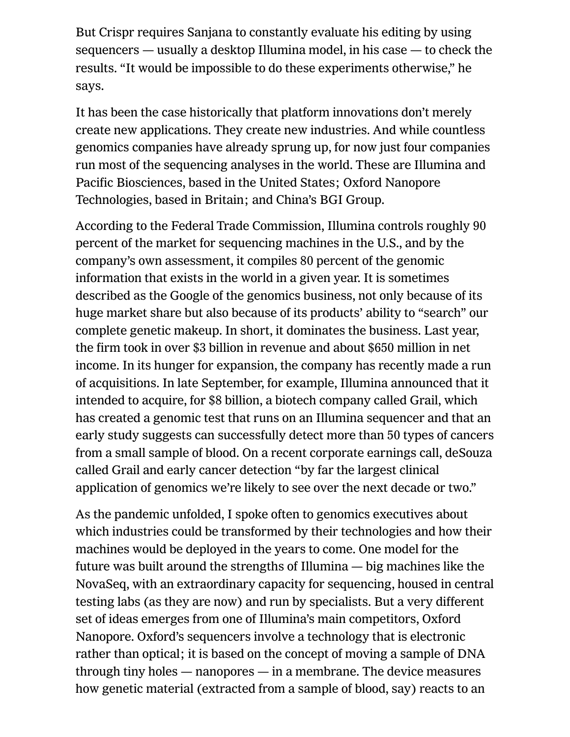But Crispr requires Sanjana to constantly evaluate his editing by using sequencers — usually a desktop Illumina model, in his case — to check the results. "It would be impossible to do these experiments otherwise," he says.

It has been the case historically that platform innovations don't merely create new applications. They create new industries. And while countless genomics companies have already sprung up, for now just four companies run most of the sequencing analyses in the world. These are Illumina and Pacific Biosciences, based in the United States; Oxford Nanopore Technologies, based in Britain; and China's BGI Group.

According to the Federal Trade Commission, Illumina controls roughly 90 percent of the market for sequencing machines in the U.S., and by the company's own assessment, it compiles 80 percent of the genomic information that exists in the world in a given year. It is sometimes described as the Google of the genomics business, not only because of its huge market share but also because of its products' ability to "search" our complete genetic makeup. In short, it dominates the business. Last year, the firm took in over \$3 billion in revenue and about \$650 million in net income. In its hunger for expansion, the company has recently made a run of acquisitions. In late September, for example, Illumina announced that it intended to acquire, for \$8 billion, a biotech company called Grail, which has created a genomic test that runs on an Illumina sequencer and that an early study suggests can successfully detect more than 50 types of cancers from a small sample of blood. On a recent corporate earnings call, deSouza called Grail and early cancer detection "by far the largest clinical application of genomics we're likely to see over the next decade or two."

As the pandemic unfolded, I spoke often to genomics executives about which industries could be transformed by their technologies and how their machines would be deployed in the years to come. One model for the future was built around the strengths of Illumina — big machines like the NovaSeq, with an extraordinary capacity for sequencing, housed in central testing labs (as they are now) and run by specialists. But a very different set of ideas emerges from one of Illumina's main competitors, Oxford Nanopore. Oxford's sequencers involve a technology that is electronic rather than optical; it is based on the concept of moving a sample of DNA through tiny holes — nanopores — in a membrane. The device measures how genetic material (extracted from a sample of blood, say) reacts to an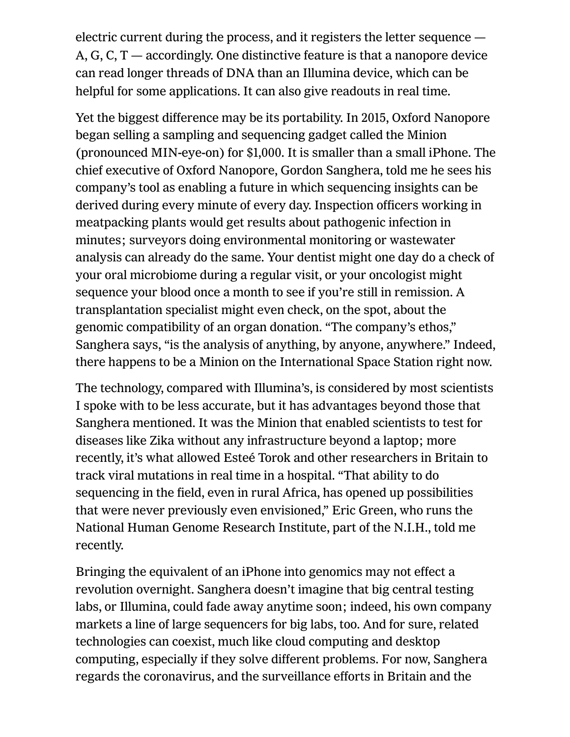electric current during the process, and it registers the letter sequence — A, G, C,  $T$  — accordingly. One distinctive feature is that a nanopore device can read longer threads of DNA than an Illumina device, which can be helpful for some applications. It can also give readouts in real time.

Yet the biggest difference may be its portability. In 2015, Oxford Nanopore began selling a sampling and sequencing gadget called the Minion (pronounced MIN-eye-on) for \$1,000. It is smaller than a small iPhone. The chief executive of Oxford Nanopore, Gordon Sanghera, told me he sees his company's tool as enabling a future in which sequencing insights can be derived during every minute of every day. Inspection officers working in meatpacking plants would get results about pathogenic infection in minutes; surveyors doing environmental monitoring or wastewater analysis can already do the same. Your dentist might one day do a check of your oral microbiome during a regular visit, or your oncologist might sequence your blood once a month to see if you're still in remission. A transplantation specialist might even check, on the spot, about the genomic compatibility of an organ donation. "The company's ethos," Sanghera says, "is the analysis of anything, by anyone, anywhere." Indeed, there happens to be a Minion on the International Space Station right now.

The technology, compared with Illumina's, is considered by most scientists I spoke with to be less accurate, but it has advantages beyond those that Sanghera mentioned. It was the Minion that enabled scientists to test for diseases like Zika without any infrastructure beyond a laptop; more recently, it's what allowed Esteé Torok and other researchers in Britain to track viral mutations in real time in a hospital. "That ability to do sequencing in the field, even in rural Africa, has opened up possibilities that were never previously even envisioned," Eric Green, who runs the National Human Genome Research Institute, part of the N.I.H., told me recently.

Bringing the equivalent of an iPhone into genomics may not effect a revolution overnight. Sanghera doesn't imagine that big central testing labs, or Illumina, could fade away anytime soon; indeed, his own company markets a line of large sequencers for big labs, too. And for sure, related technologies can coexist, much like cloud computing and desktop computing, especially if they solve different problems. For now, Sanghera regards the coronavirus, and the surveillance efforts in Britain and the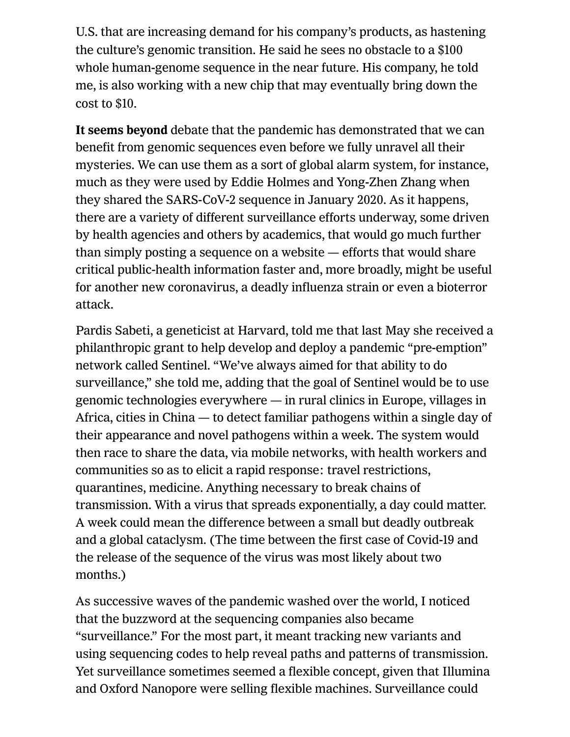U.S. that are increasing demand for his company's products, as hastening the culture's genomic transition. He said he sees no obstacle to a \$100 whole human-genome sequence in the near future. His company, he told me, is also working with a new chip that may eventually bring down the cost to \$10.

It seems beyond debate that the pandemic has demonstrated that we can benefit from genomic sequences even before we fully unravel all their mysteries. We can use them as a sort of global alarm system, for instance, much as they were used by Eddie Holmes and Yong-Zhen Zhang when they shared the SARS-CoV-2 sequence in January 2020. As it happens, there are a variety of different surveillance efforts underway, some driven by health agencies and others by academics, that would go much further than simply posting a sequence on a website — efforts that would share critical public-health information faster and, more broadly, might be useful for another new coronavirus, a deadly influenza strain or even a bioterror attack.

Pardis Sabeti, a geneticist at Harvard, told me that last May she received a philanthropic grant to help develop and deploy a pandemic "pre-emption" [network called Sentinel.](https://www.broadinstitute.org/news/scientific-coalition-developing-surveillance-system-detecting-emerging-pandemics-real-time) "We've always aimed for that ability to do surveillance," she told me, adding that the goal of Sentinel would be to use genomic technologies everywhere — in rural clinics in Europe, villages in Africa, cities in China — to detect familiar pathogens within a single day of their appearance and novel pathogens within a week. The system would then race to share the data, via mobile networks, with health workers and communities so as to elicit a rapid response: travel restrictions, quarantines, medicine. Anything necessary to break chains of transmission. With a virus that spreads exponentially, a day could matter. A week could mean the difference between a small but deadly outbreak [and a global cataclysm. \(The time between the first case of Covid-19 and](https://science.sciencemag.org/content/early/2021/03/17/science.abf8003)  the release of the sequence of the virus was most likely about two months.)

As successive waves of the pandemic washed over the world, I noticed that the buzzword at the sequencing companies also became "surveillance." For the most part, it meant tracking new variants and using sequencing codes to help reveal paths and patterns of transmission. Yet surveillance sometimes seemed a flexible concept, given that Illumina and Oxford Nanopore were selling flexible machines. Surveillance could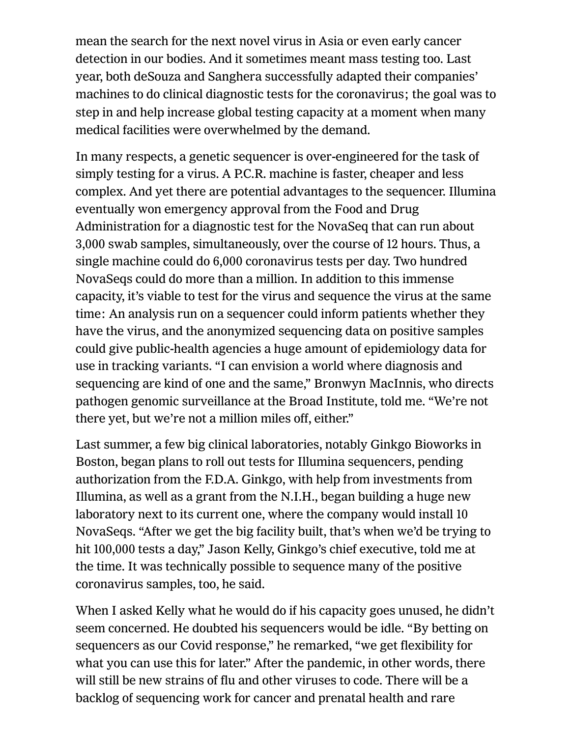mean the search for the next novel virus in Asia or even early cancer detection in our bodies. And it sometimes meant mass testing too. Last year, both deSouza and Sanghera successfully adapted their companies' machines to do clinical diagnostic tests for the coronavirus; the goal was to step in and help increase global testing capacity at a moment when many medical facilities were overwhelmed by the demand.

In many respects, a genetic sequencer is over-engineered for the task of simply testing for a virus. A P.C.R. machine is faster, cheaper and less complex. And yet there are potential advantages to the sequencer. Illumina eventually won emergency approval from the Food and Drug Administration for a diagnostic test for the NovaSeq that can run about 3,000 swab samples, simultaneously, over the course of 12 hours. Thus, a single machine could do 6,000 coronavirus tests per day. Two hundred NovaSeqs could do more than a million. In addition to this immense capacity, it's viable to test for the virus and sequence the virus at the same time: An analysis run on a sequencer could inform patients whether they have the virus, and the anonymized sequencing data on positive samples could give public-health agencies a huge amount of epidemiology data for use in tracking variants. "I can envision a world where diagnosis and sequencing are kind of one and the same," Bronwyn MacInnis, who directs pathogen genomic surveillance at the Broad Institute, told me. "We're not there yet, but we're not a million miles off, either."

Last summer, a few big clinical laboratories, notably Ginkgo Bioworks in Boston, began plans to roll out tests for Illumina sequencers, pending authorization from the F.D.A. Ginkgo, with help from investments from Illumina, as well as a grant from the N.I.H., began building a huge new laboratory next to its current one, where the company would install 10 NovaSeqs. "After we get the big facility built, that's when we'd be trying to hit 100,000 tests a day," Jason Kelly, Ginkgo's chief executive, told me at the time. It was technically possible to sequence many of the positive coronavirus samples, too, he said.

When I asked Kelly what he would do if his capacity goes unused, he didn't seem concerned. He doubted his sequencers would be idle. "By betting on sequencers as our Covid response," he remarked, "we get flexibility for what you can use this for later." After the pandemic, in other words, there will still be new strains of flu and other viruses to code. There will be a backlog of sequencing work for cancer and prenatal health and rare